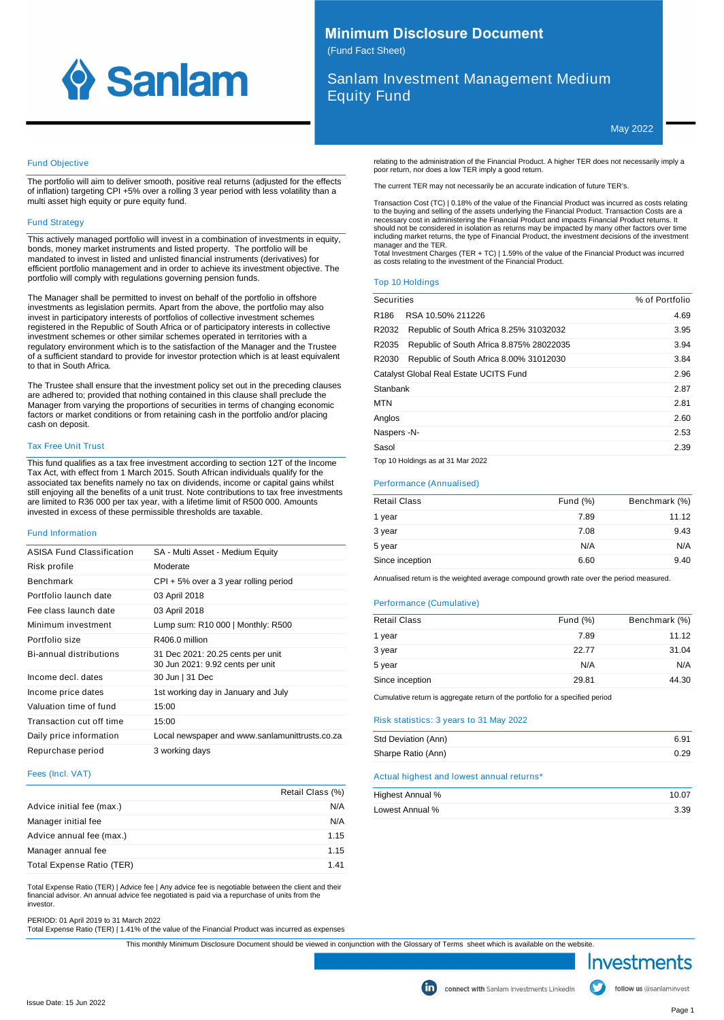

# **Minimum Disclosure Document** (Fund Fact Sheet)

Sanlam Investment Management Medium Equity Fund

poor return, nor does a low TER imply a good return.

May 2022

# Fund Objective

The portfolio will aim to deliver smooth, positive real returns (adjusted for the effects of inflation) targeting CPI +5% over a rolling 3 year period with less volatility than a multi asset high equity or pure equity fund.

#### Fund Strategy

This actively managed portfolio will invest in a combination of investments in equity, bonds, money market instruments and listed property. The portfolio will be mandated to invest in listed and unlisted financial instruments (derivatives) for efficient portfolio management and in order to achieve its investment objective. The portfolio will comply with regulations governing pension funds.

The Manager shall be permitted to invest on behalf of the portfolio in offshore investments as legislation permits. Apart from the above, the portfolio may also invest in participatory interests of portfolios of collective investment schemes registered in the Republic of South Africa or of participatory interests in collective investment schemes or other similar schemes operated in territories with a regulatory environment which is to the satisfaction of the Manager and the Trustee of a sufficient standard to provide for investor protection which is at least equivalent to that in South Africa.

The Trustee shall ensure that the investment policy set out in the preceding clauses are adhered to; provided that nothing contained in this clause shall preclude the Manager from varying the proportions of securities in terms of changing economic factors or market conditions or from retaining cash in the portfolio and/or placing cash on deposit.

# Tax Free Unit Trust

This fund qualifies as a tax free investment according to section 12T of the Income Tax Act, with effect from 1 March 2015. South African individuals qualify for the associated tax benefits namely no tax on dividends, income or capital gains whilst still enjoying all the benefits of a unit trust. Note contributions to tax free investments are limited to R36 000 per tax year, with a lifetime limit of R500 000. Amounts invested in excess of these permissible thresholds are taxable.

#### Fund Information

| <b>ASISA Fund Classification</b> | SA - Multi Asset - Medium Equity                                      |
|----------------------------------|-----------------------------------------------------------------------|
| Risk profile                     | Moderate                                                              |
| <b>Benchmark</b>                 | $CPI + 5%$ over a 3 year rolling period                               |
| Portfolio launch date            | 03 April 2018                                                         |
| Fee class launch date            | 03 April 2018                                                         |
| Minimum investment               | Lump sum: R10 000   Monthly: R500                                     |
| Portfolio size                   | R406.0 million                                                        |
| Bi-annual distributions          | 31 Dec 2021: 20.25 cents per unit<br>30 Jun 2021: 9.92 cents per unit |
| Income decl. dates               | 30 Jun   31 Dec                                                       |
| Income price dates               | 1st working day in January and July                                   |
| Valuation time of fund           | 15:00                                                                 |
| Transaction cut off time         | 15:00                                                                 |
| Daily price information          | Local newspaper and www.sanlamunittrusts.co.za                        |
| Repurchase period                | 3 working days                                                        |

#### Fees (Incl. VAT)

|                           | Retail Class (%) |
|---------------------------|------------------|
| Advice initial fee (max.) | N/A              |
| Manager initial fee       | N/A              |
| Advice annual fee (max.)  | 1.15             |
| Manager annual fee        | 1.15             |
| Total Expense Ratio (TER) | 141              |

Total Expense Ratio (TER) | Advice fee | Any advice fee is negotiable between the client and their financial advisor. An annual advice fee negotiated is paid via a repurchase of units from the investor.

PERIOD: 01 April 2019 to 31 March 2022 Total Expense Ratio (TER) | 1.41% of the value of the Financial Product was incurred as expenses

This monthly Minimum Disclosure Document should be viewed in conjunction with the Glossary of Terms sheet which is available on the website.



manager and the TER.

| <b>Securities</b> |                                          | % of Portfolio |
|-------------------|------------------------------------------|----------------|
| R186              | RSA 10.50% 211226                        | 4.69           |
| R2032             | Republic of South Africa 8.25% 31032032  | 3.95           |
| R2035             | Republic of South Africa 8.875% 28022035 | 3.94           |
| R2030             | Republic of South Africa 8.00% 31012030  | 3.84           |
|                   | Catalyst Global Real Estate UCITS Fund   | 2.96           |
| Stanbank          |                                          | 2.87           |
| <b>MTN</b>        |                                          | 2.81           |
| Anglos            |                                          | 2.60           |
| Naspers -N-       |                                          | 2.53           |
| Sasol             |                                          | 2.39           |
|                   | Top 10 Holdings as at 31 Mar 2022        |                |

relating to the administration of the Financial Product. A higher TER does not necessarily imply a

Transaction Cost (TC) | 0.18% of the value of the Financial Product was incurred as costs relating to the buying and selling of the assets underlying the Financial Product. Transaction Costs are a<br>necessary cost in administering the Financial Product and impacts Financial Product returns. It<br>should not be considered in including market returns, the type of Financial Product, the investment decisions of the investment

Total Investment Charges (TER + TC) | 1.59% of the value of the Financial Product was incurred as costs relating to the investment of the Financial Product.

The current TER may not necessarily be an accurate indication of future TER's.

#### Performance (Annualised)

| <b>Retail Class</b> | Fund $(\%)$ | Benchmark (%) |
|---------------------|-------------|---------------|
| 1 year              | 7.89        | 11.12         |
| 3 year              | 7.08        | 9.43          |
| 5 year              | N/A         | N/A           |
| Since inception     | 6.60        | 9.40          |

Annualised return is the weighted average compound growth rate over the period measured.

#### Performance (Cumulative)

| <b>Retail Class</b> | Fund $(\%)$ | Benchmark (%) |
|---------------------|-------------|---------------|
| 1 year              | 7.89        | 11.12         |
| 3 year              | 22.77       | 31.04         |
| 5 year              | N/A         | N/A           |
| Since inception     | 29.81       | 44.30         |
|                     |             |               |

Cumulative return is aggregate return of the portfolio for a specified period

# Risk statistics: 3 years to 31 May 2022

| Std Deviation (Ann) | 6.91 |
|---------------------|------|
| Sharpe Ratio (Ann)  | 0.29 |

## Actual highest and lowest annual returns\*

| Highest Annual % | 10.07 |
|------------------|-------|
| Lowest Annual %  | 3.39  |

follow us @sanlaminvest